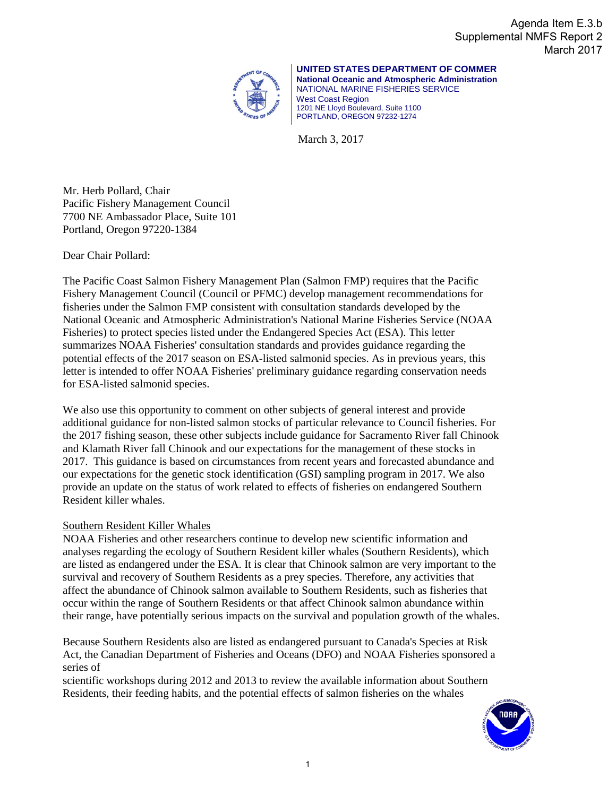Agenda Item E.3.b Supplemental NMFS Report 2 March 2017



**UNITED STATES DEPARTMENT OF COMMER National Oceanic and Atmospheric Administration** NATIONAL MARINE FISHERIES SERVICE West Coast Region 1201 NE Lloyd Boulevard, Suite 1100 PORTLAND, OREGON 97232-1274

March 3, 2017

Mr. Herb Pollard, Chair Pacific Fishery Management Council 7700 NE Ambassador Place, Suite 101 Portland, Oregon 97220-1384

Dear Chair Pollard:

The Pacific Coast Salmon Fishery Management Plan (Salmon FMP) requires that the Pacific Fishery Management Council (Council or PFMC) develop management recommendations for fisheries under the Salmon FMP consistent with consultation standards developed by the National Oceanic and Atmospheric Administration's National Marine Fisheries Service (NOAA Fisheries) to protect species listed under the Endangered Species Act (ESA). This letter summarizes NOAA Fisheries' consultation standards and provides guidance regarding the potential effects of the 2017 season on ESA-listed salmonid species. As in previous years, this letter is intended to offer NOAA Fisheries' preliminary guidance regarding conservation needs for ESA-listed salmonid species.

We also use this opportunity to comment on other subjects of general interest and provide additional guidance for non-listed salmon stocks of particular relevance to Council fisheries. For the 2017 fishing season, these other subjects include guidance for Sacramento River fall Chinook and Klamath River fall Chinook and our expectations for the management of these stocks in 2017. This guidance is based on circumstances from recent years and forecasted abundance and our expectations for the genetic stock identification (GSI) sampling program in 2017. We also provide an update on the status of work related to effects of fisheries on endangered Southern Resident killer whales.

#### Southern Resident Killer Whales

NOAA Fisheries and other researchers continue to develop new scientific information and analyses regarding the ecology of Southern Resident killer whales (Southern Residents), which are listed as endangered under the ESA. It is clear that Chinook salmon are very important to the survival and recovery of Southern Residents as a prey species. Therefore, any activities that affect the abundance of Chinook salmon available to Southern Residents, such as fisheries that occur within the range of Southern Residents or that affect Chinook salmon abundance within their range, have potentially serious impacts on the survival and population growth of the whales.

Because Southern Residents also are listed as endangered pursuant to Canada's Species at Risk Act, the Canadian Department of Fisheries and Oceans (DFO) and NOAA Fisheries sponsored a series of

scientific workshops during 2012 and 2013 to review the available information about Southern Residents, their feeding habits, and the potential effects of salmon fisheries on the whales

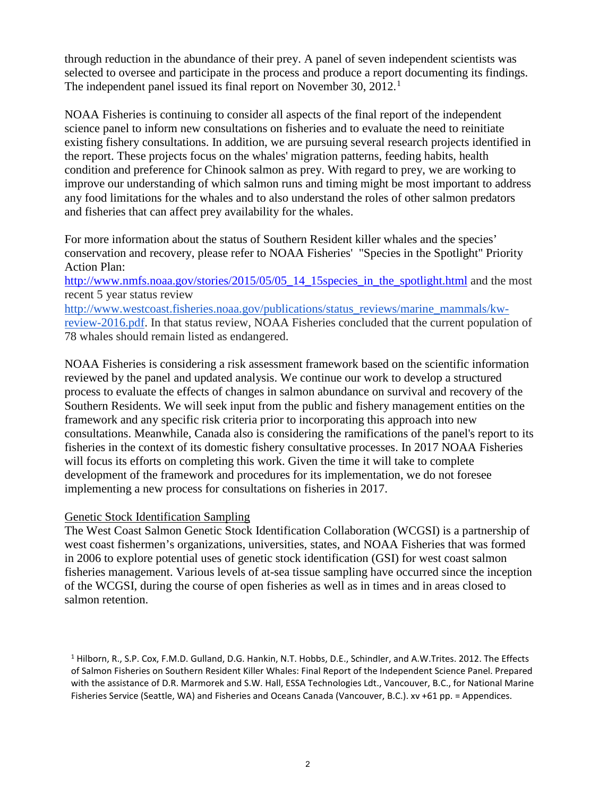through reduction in the abundance of their prey. A panel of seven independent scientists was selected to oversee and participate in the process and produce a report documenting its findings. The independent panel issued its final report on November 30, 20[1](#page-1-0)2.<sup>1</sup>

NOAA Fisheries is continuing to consider all aspects of the final report of the independent science panel to inform new consultations on fisheries and to evaluate the need to reinitiate existing fishery consultations. In addition, we are pursuing several research projects identified in the report. These projects focus on the whales' migration patterns, feeding habits, health condition and preference for Chinook salmon as prey. With regard to prey, we are working to improve our understanding of which salmon runs and timing might be most important to address any food limitations for the whales and to also understand the roles of other salmon predators and fisheries that can affect prey availability for the whales.

For more information about the status of Southern Resident killer whales and the species' conservation and recovery, please refer to NOAA Fisheries' "Species in the Spotlight" Priority Action Plan:

[http://www.nmfs.noaa.gov/stories/2015/05/05\\_14\\_15species\\_in\\_the\\_spotlight.html](http://www.nmfs.noaa.gov/stories/2015/05/05_14_15species_in_the_spotlight.html) and the most recent 5 year status review

[http://www.westcoast.fisheries.noaa.gov/publications/status\\_reviews/marine\\_mammals/kw](http://www.westcoast.fisheries.noaa.gov/publications/status_reviews/marine_mammals/kw-review-2016.pdf)[review-2016.pdf.](http://www.westcoast.fisheries.noaa.gov/publications/status_reviews/marine_mammals/kw-review-2016.pdf) In that status review, NOAA Fisheries concluded that the current population of 78 whales should remain listed as endangered.

NOAA Fisheries is considering a risk assessment framework based on the scientific information reviewed by the panel and updated analysis. We continue our work to develop a structured process to evaluate the effects of changes in salmon abundance on survival and recovery of the Southern Residents. We will seek input from the public and fishery management entities on the framework and any specific risk criteria prior to incorporating this approach into new consultations. Meanwhile, Canada also is considering the ramifications of the panel's report to its fisheries in the context of its domestic fishery consultative processes. In 2017 NOAA Fisheries will focus its efforts on completing this work. Given the time it will take to complete development of the framework and procedures for its implementation, we do not foresee implementing a new process for consultations on fisheries in 2017.

#### Genetic Stock Identification Sampling

The West Coast Salmon Genetic Stock Identification Collaboration (WCGSI) is a partnership of west coast fishermen's organizations, universities, states, and NOAA Fisheries that was formed in 2006 to explore potential uses of genetic stock identification (GSI) for west coast salmon fisheries management. Various levels of at-sea tissue sampling have occurred since the inception of the WCGSI, during the course of open fisheries as well as in times and in areas closed to salmon retention.

<span id="page-1-0"></span><sup>&</sup>lt;sup>1</sup> Hilborn, R., S.P. Cox, F.M.D. Gulland, D.G. Hankin, N.T. Hobbs, D.E., Schindler, and A.W.Trites. 2012. The Effects of Salmon Fisheries on Southern Resident Killer Whales: Final Report of the Independent Science Panel. Prepared with the assistance of D.R. Marmorek and S.W. Hall, ESSA Technologies Ldt., Vancouver, B.C., for National Marine Fisheries Service (Seattle, WA) and Fisheries and Oceans Canada (Vancouver, B.C.). xv +61 pp. = Appendices.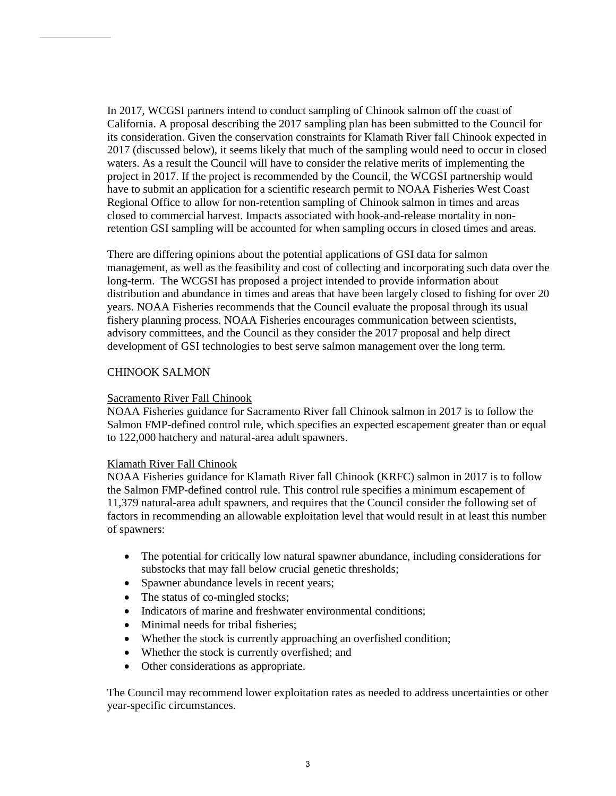In 2017, WCGSI partners intend to conduct sampling of Chinook salmon off the coast of California. A proposal describing the 2017 sampling plan has been submitted to the Council for its consideration. Given the conservation constraints for Klamath River fall Chinook expected in 2017 (discussed below), it seems likely that much of the sampling would need to occur in closed waters. As a result the Council will have to consider the relative merits of implementing the project in 2017. If the project is recommended by the Council, the WCGSI partnership would have to submit an application for a scientific research permit to NOAA Fisheries West Coast Regional Office to allow for non-retention sampling of Chinook salmon in times and areas closed to commercial harvest. Impacts associated with hook-and-release mortality in nonretention GSI sampling will be accounted for when sampling occurs in closed times and areas.

There are differing opinions about the potential applications of GSI data for salmon management, as well as the feasibility and cost of collecting and incorporating such data over the long-term. The WCGSI has proposed a project intended to provide information about distribution and abundance in times and areas that have been largely closed to fishing for over 20 years. NOAA Fisheries recommends that the Council evaluate the proposal through its usual fishery planning process. NOAA Fisheries encourages communication between scientists, advisory committees, and the Council as they consider the 2017 proposal and help direct development of GSI technologies to best serve salmon management over the long term.

#### CHINOOK SALMON

#### Sacramento River Fall Chinook

NOAA Fisheries guidance for Sacramento River fall Chinook salmon in 2017 is to follow the Salmon FMP-defined control rule, which specifies an expected escapement greater than or equal to 122,000 hatchery and natural-area adult spawners.

#### Klamath River Fall Chinook

NOAA Fisheries guidance for Klamath River fall Chinook (KRFC) salmon in 2017 is to follow the Salmon FMP-defined control rule. This control rule specifies a minimum escapement of 11,379 natural-area adult spawners, and requires that the Council consider the following set of factors in recommending an allowable exploitation level that would result in at least this number of spawners:

- The potential for critically low natural spawner abundance, including considerations for substocks that may fall below crucial genetic thresholds;
- Spawner abundance levels in recent years;
- The status of co-mingled stocks;
- Indicators of marine and freshwater environmental conditions:
- Minimal needs for tribal fisheries;
- Whether the stock is currently approaching an overfished condition;
- Whether the stock is currently overfished; and
- Other considerations as appropriate.

The Council may recommend lower exploitation rates as needed to address uncertainties or other year-specific circumstances.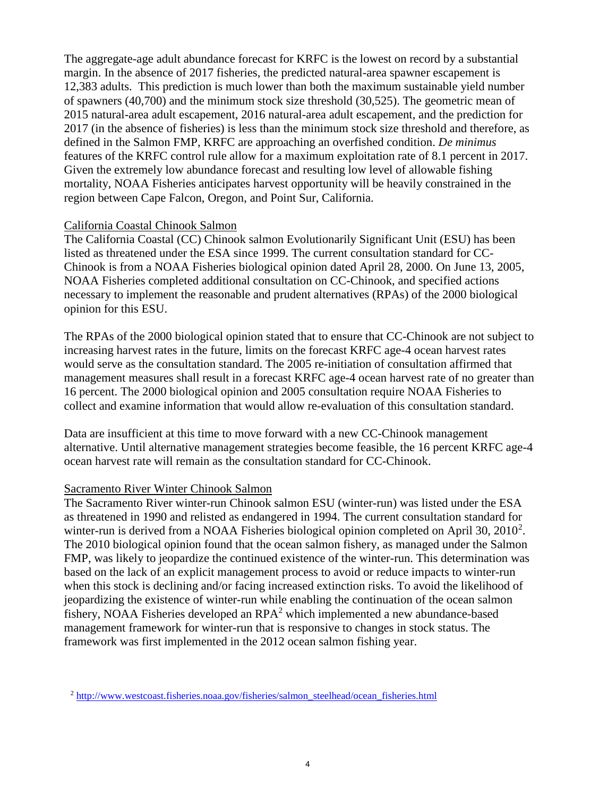The aggregate-age adult abundance forecast for KRFC is the lowest on record by a substantial margin. In the absence of 2017 fisheries, the predicted natural-area spawner escapement is 12,383 adults. This prediction is much lower than both the maximum sustainable yield number of spawners (40,700) and the minimum stock size threshold (30,525). The geometric mean of 2015 natural-area adult escapement, 2016 natural-area adult escapement, and the prediction for 2017 (in the absence of fisheries) is less than the minimum stock size threshold and therefore, as defined in the Salmon FMP, KRFC are approaching an overfished condition. *De minimus* features of the KRFC control rule allow for a maximum exploitation rate of 8.1 percent in 2017. Given the extremely low abundance forecast and resulting low level of allowable fishing mortality, NOAA Fisheries anticipates harvest opportunity will be heavily constrained in the region between Cape Falcon, Oregon, and Point Sur, California.

#### California Coastal Chinook Salmon

The California Coastal (CC) Chinook salmon Evolutionarily Significant Unit (ESU) has been listed as threatened under the ESA since 1999. The current consultation standard for CC-Chinook is from a NOAA Fisheries biological opinion dated April 28, 2000. On June 13, 2005, NOAA Fisheries completed additional consultation on CC-Chinook, and specified actions necessary to implement the reasonable and prudent alternatives (RPAs) of the 2000 biological opinion for this ESU.

The RPAs of the 2000 biological opinion stated that to ensure that CC-Chinook are not subject to increasing harvest rates in the future, limits on the forecast KRFC age-4 ocean harvest rates would serve as the consultation standard. The 2005 re-initiation of consultation affirmed that management measures shall result in a forecast KRFC age-4 ocean harvest rate of no greater than 16 percent. The 2000 biological opinion and 2005 consultation require NOAA Fisheries to collect and examine information that would allow re-evaluation of this consultation standard.

Data are insufficient at this time to move forward with a new CC-Chinook management alternative. Until alternative management strategies become feasible, the 16 percent KRFC age-4 ocean harvest rate will remain as the consultation standard for CC-Chinook.

#### Sacramento River Winter Chinook Salmon

The Sacramento River winter-run Chinook salmon ESU (winter-run) was listed under the ESA as threatened in 1990 and relisted as endangered in 1994. The current consultation standard for winter-run is derived from a NOAA Fisheries biological opinion completed on April 30, [2](#page-3-0)010<sup>2</sup>. The 2010 biological opinion found that the ocean salmon fishery, as managed under the Salmon FMP, was likely to jeopardize the continued existence of the winter-run. This determination was based on the lack of an explicit management process to avoid or reduce impacts to winter-run when this stock is declining and/or facing increased extinction risks. To avoid the likelihood of jeopardizing the existence of winter-run while enabling the continuation of the ocean salmon fishery, NOAA Fisheries developed an  $RPA<sup>2</sup>$  which implemented a new abundance-based management framework for winter-run that is responsive to changes in stock status. The framework was first implemented in the 2012 ocean salmon fishing year.

<span id="page-3-0"></span><sup>2</sup> [http://www.westcoast.fisheries.noaa.gov/fisheries/salmon\\_steelhead/ocean\\_fisheries.html](http://www.westcoast.fisheries.noaa.gov/fisheries/salmon_steelhead/ocean_fisheries.html)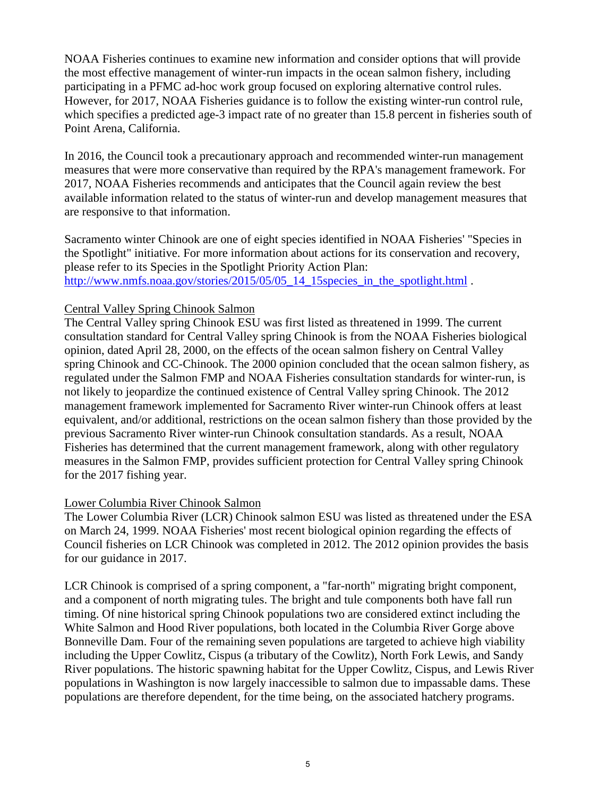NOAA Fisheries continues to examine new information and consider options that will provide the most effective management of winter-run impacts in the ocean salmon fishery, including participating in a PFMC ad-hoc work group focused on exploring alternative control rules. However, for 2017, NOAA Fisheries guidance is to follow the existing winter-run control rule, which specifies a predicted age-3 impact rate of no greater than 15.8 percent in fisheries south of Point Arena, California.

In 2016, the Council took a precautionary approach and recommended winter-run management measures that were more conservative than required by the RPA's management framework. For 2017, NOAA Fisheries recommends and anticipates that the Council again review the best available information related to the status of winter-run and develop management measures that are responsive to that information.

Sacramento winter Chinook are one of eight species identified in NOAA Fisheries' "Species in the Spotlight" initiative. For more information about actions for its conservation and recovery, please refer to its Species in the Spotlight Priority Action Plan: [http://www.nmfs.noaa.gov/stories/2015/05/05\\_14\\_15species\\_in\\_the\\_spotlight.html](http://www.nmfs.noaa.gov/stories/2015/05/05_14_15species_in_the_spotlight.html) .

#### Central Valley Spring Chinook Salmon

The Central Valley spring Chinook ESU was first listed as threatened in 1999. The current consultation standard for Central Valley spring Chinook is from the NOAA Fisheries biological opinion, dated April 28, 2000, on the effects of the ocean salmon fishery on Central Valley spring Chinook and CC-Chinook. The 2000 opinion concluded that the ocean salmon fishery, as regulated under the Salmon FMP and NOAA Fisheries consultation standards for winter-run, is not likely to jeopardize the continued existence of Central Valley spring Chinook. The 2012 management framework implemented for Sacramento River winter-run Chinook offers at least equivalent, and/or additional, restrictions on the ocean salmon fishery than those provided by the previous Sacramento River winter-run Chinook consultation standards. As a result, NOAA Fisheries has determined that the current management framework, along with other regulatory measures in the Salmon FMP, provides sufficient protection for Central Valley spring Chinook for the 2017 fishing year.

#### Lower Columbia River Chinook Salmon

The Lower Columbia River (LCR) Chinook salmon ESU was listed as threatened under the ESA on March 24, 1999. NOAA Fisheries' most recent biological opinion regarding the effects of Council fisheries on LCR Chinook was completed in 2012. The 2012 opinion provides the basis for our guidance in 2017.

LCR Chinook is comprised of a spring component, a "far-north" migrating bright component, and a component of north migrating tules. The bright and tule components both have fall run timing. Of nine historical spring Chinook populations two are considered extinct including the White Salmon and Hood River populations, both located in the Columbia River Gorge above Bonneville Dam. Four of the remaining seven populations are targeted to achieve high viability including the Upper Cowlitz, Cispus (a tributary of the Cowlitz), North Fork Lewis, and Sandy River populations. The historic spawning habitat for the Upper Cowlitz, Cispus, and Lewis River populations in Washington is now largely inaccessible to salmon due to impassable dams. These populations are therefore dependent, for the time being, on the associated hatchery programs.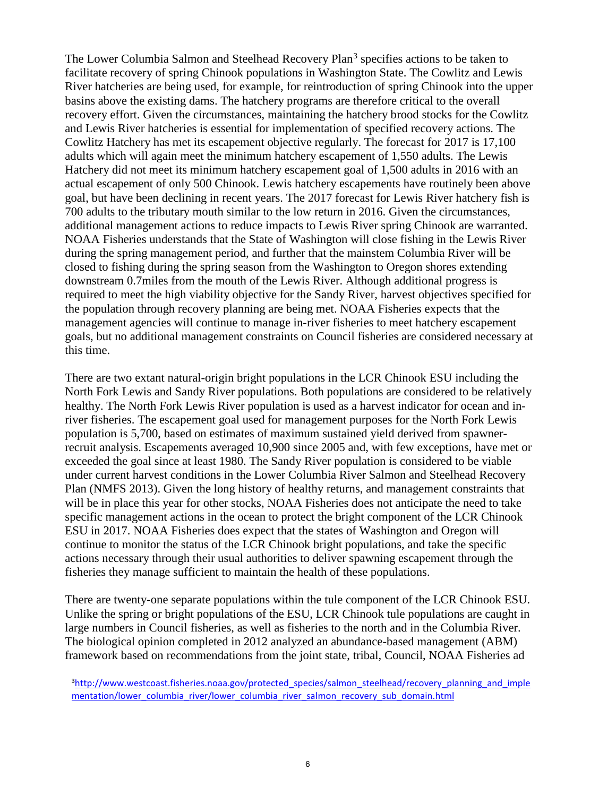The Lower Columbia Salmon and Steelhead Recovery Plan<sup>[3](#page-5-0)</sup> specifies actions to be taken to facilitate recovery of spring Chinook populations in Washington State. The Cowlitz and Lewis River hatcheries are being used, for example, for reintroduction of spring Chinook into the upper basins above the existing dams. The hatchery programs are therefore critical to the overall recovery effort. Given the circumstances, maintaining the hatchery brood stocks for the Cowlitz and Lewis River hatcheries is essential for implementation of specified recovery actions. The Cowlitz Hatchery has met its escapement objective regularly. The forecast for 2017 is 17,100 adults which will again meet the minimum hatchery escapement of 1,550 adults. The Lewis Hatchery did not meet its minimum hatchery escapement goal of 1,500 adults in 2016 with an actual escapement of only 500 Chinook. Lewis hatchery escapements have routinely been above goal, but have been declining in recent years. The 2017 forecast for Lewis River hatchery fish is 700 adults to the tributary mouth similar to the low return in 2016. Given the circumstances, additional management actions to reduce impacts to Lewis River spring Chinook are warranted. NOAA Fisheries understands that the State of Washington will close fishing in the Lewis River during the spring management period, and further that the mainstem Columbia River will be closed to fishing during the spring season from the Washington to Oregon shores extending downstream 0.7miles from the mouth of the Lewis River. Although additional progress is required to meet the high viability objective for the Sandy River, harvest objectives specified for the population through recovery planning are being met. NOAA Fisheries expects that the management agencies will continue to manage in-river fisheries to meet hatchery escapement goals, but no additional management constraints on Council fisheries are considered necessary at this time.

There are two extant natural-origin bright populations in the LCR Chinook ESU including the North Fork Lewis and Sandy River populations. Both populations are considered to be relatively healthy. The North Fork Lewis River population is used as a harvest indicator for ocean and inriver fisheries. The escapement goal used for management purposes for the North Fork Lewis population is 5,700, based on estimates of maximum sustained yield derived from spawnerrecruit analysis. Escapements averaged 10,900 since 2005 and, with few exceptions, have met or exceeded the goal since at least 1980. The Sandy River population is considered to be viable under current harvest conditions in the Lower Columbia River Salmon and Steelhead Recovery Plan (NMFS 2013). Given the long history of healthy returns, and management constraints that will be in place this year for other stocks, NOAA Fisheries does not anticipate the need to take specific management actions in the ocean to protect the bright component of the LCR Chinook ESU in 2017. NOAA Fisheries does expect that the states of Washington and Oregon will continue to monitor the status of the LCR Chinook bright populations, and take the specific actions necessary through their usual authorities to deliver spawning escapement through the fisheries they manage sufficient to maintain the health of these populations.

There are twenty-one separate populations within the tule component of the LCR Chinook ESU. Unlike the spring or bright populations of the ESU, LCR Chinook tule populations are caught in large numbers in Council fisheries, as well as fisheries to the north and in the Columbia River. The biological opinion completed in 2012 analyzed an abundance-based management (ABM) framework based on recommendations from the joint state, tribal, Council, NOAA Fisheries ad

<span id="page-5-0"></span><sup>&</sup>lt;sup>3</sup>[http://www.westcoast.fisheries.noaa.gov/protected\\_species/salmon\\_steelhead/recovery\\_planning\\_and\\_imple](http://www.westcoast.fisheries.noaa.gov/protected_species/salmon_steelhead/recovery_planning_and_implementation/lower_columbia_river/lower_columbia_river_salmon_recovery_sub_domain.html) mentation/lower\_columbia\_river/lower\_columbia\_river\_salmon\_recovery\_sub\_domain.html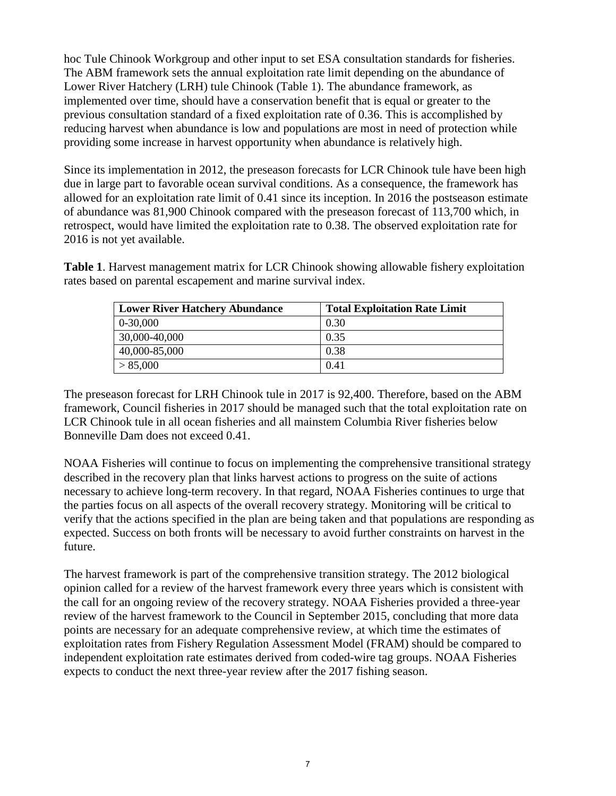hoc Tule Chinook Workgroup and other input to set ESA consultation standards for fisheries. The ABM framework sets the annual exploitation rate limit depending on the abundance of Lower River Hatchery (LRH) tule Chinook (Table 1). The abundance framework, as implemented over time, should have a conservation benefit that is equal or greater to the previous consultation standard of a fixed exploitation rate of 0.36. This is accomplished by reducing harvest when abundance is low and populations are most in need of protection while providing some increase in harvest opportunity when abundance is relatively high.

Since its implementation in 2012, the preseason forecasts for LCR Chinook tule have been high due in large part to favorable ocean survival conditions. As a consequence, the framework has allowed for an exploitation rate limit of 0.41 since its inception. In 2016 the postseason estimate of abundance was 81,900 Chinook compared with the preseason forecast of 113,700 which, in retrospect, would have limited the exploitation rate to 0.38. The observed exploitation rate for 2016 is not yet available.

**Table 1**. Harvest management matrix for LCR Chinook showing allowable fishery exploitation rates based on parental escapement and marine survival index.

| <b>Lower River Hatchery Abundance</b> | <b>Total Exploitation Rate Limit</b> |
|---------------------------------------|--------------------------------------|
| 0-30,000                              | 0.30                                 |
| 30,000-40,000                         | 0.35                                 |
| 40,000-85,000                         | 0.38                                 |
| > 85,000                              | 0.41                                 |

The preseason forecast for LRH Chinook tule in 2017 is 92,400. Therefore, based on the ABM framework, Council fisheries in 2017 should be managed such that the total exploitation rate on LCR Chinook tule in all ocean fisheries and all mainstem Columbia River fisheries below Bonneville Dam does not exceed 0.41.

NOAA Fisheries will continue to focus on implementing the comprehensive transitional strategy described in the recovery plan that links harvest actions to progress on the suite of actions necessary to achieve long-term recovery. In that regard, NOAA Fisheries continues to urge that the parties focus on all aspects of the overall recovery strategy. Monitoring will be critical to verify that the actions specified in the plan are being taken and that populations are responding as expected. Success on both fronts will be necessary to avoid further constraints on harvest in the future.

The harvest framework is part of the comprehensive transition strategy. The 2012 biological opinion called for a review of the harvest framework every three years which is consistent with the call for an ongoing review of the recovery strategy. NOAA Fisheries provided a three-year review of the harvest framework to the Council in September 2015, concluding that more data points are necessary for an adequate comprehensive review, at which time the estimates of exploitation rates from Fishery Regulation Assessment Model (FRAM) should be compared to independent exploitation rate estimates derived from coded-wire tag groups. NOAA Fisheries expects to conduct the next three-year review after the 2017 fishing season.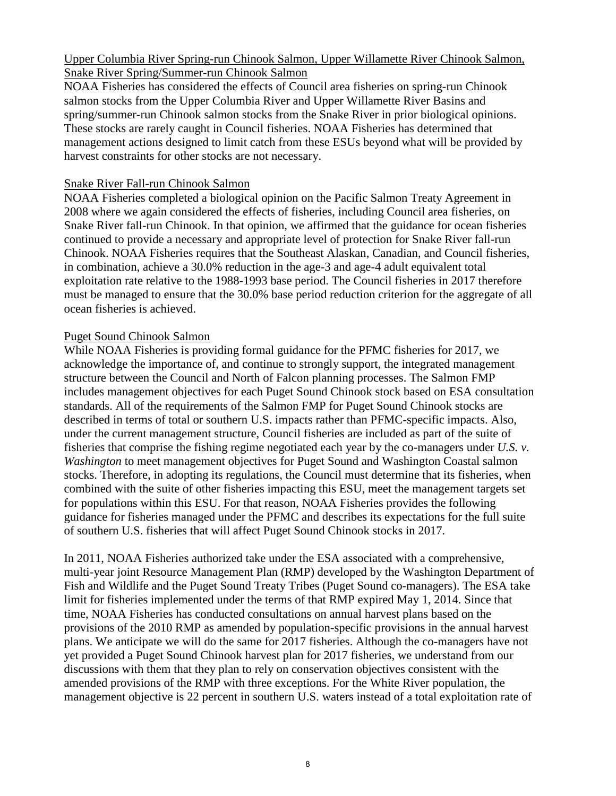## Upper Columbia River Spring-run Chinook Salmon, Upper Willamette River Chinook Salmon, Snake River Spring/Summer-run Chinook Salmon

NOAA Fisheries has considered the effects of Council area fisheries on spring-run Chinook salmon stocks from the Upper Columbia River and Upper Willamette River Basins and spring/summer-run Chinook salmon stocks from the Snake River in prior biological opinions. These stocks are rarely caught in Council fisheries. NOAA Fisheries has determined that management actions designed to limit catch from these ESUs beyond what will be provided by harvest constraints for other stocks are not necessary.

## Snake River Fall-run Chinook Salmon

NOAA Fisheries completed a biological opinion on the Pacific Salmon Treaty Agreement in 2008 where we again considered the effects of fisheries, including Council area fisheries, on Snake River fall-run Chinook. In that opinion, we affirmed that the guidance for ocean fisheries continued to provide a necessary and appropriate level of protection for Snake River fall-run Chinook. NOAA Fisheries requires that the Southeast Alaskan, Canadian, and Council fisheries, in combination, achieve a 30.0% reduction in the age-3 and age-4 adult equivalent total exploitation rate relative to the 1988-1993 base period. The Council fisheries in 2017 therefore must be managed to ensure that the 30.0% base period reduction criterion for the aggregate of all ocean fisheries is achieved.

# Puget Sound Chinook Salmon

While NOAA Fisheries is providing formal guidance for the PFMC fisheries for 2017, we acknowledge the importance of, and continue to strongly support, the integrated management structure between the Council and North of Falcon planning processes. The Salmon FMP includes management objectives for each Puget Sound Chinook stock based on ESA consultation standards. All of the requirements of the Salmon FMP for Puget Sound Chinook stocks are described in terms of total or southern U.S. impacts rather than PFMC-specific impacts. Also, under the current management structure, Council fisheries are included as part of the suite of fisheries that comprise the fishing regime negotiated each year by the co-managers under *U.S. v. Washington* to meet management objectives for Puget Sound and Washington Coastal salmon stocks. Therefore, in adopting its regulations, the Council must determine that its fisheries, when combined with the suite of other fisheries impacting this ESU, meet the management targets set for populations within this ESU. For that reason, NOAA Fisheries provides the following guidance for fisheries managed under the PFMC and describes its expectations for the full suite of southern U.S. fisheries that will affect Puget Sound Chinook stocks in 2017.

In 2011, NOAA Fisheries authorized take under the ESA associated with a comprehensive, multi-year joint Resource Management Plan (RMP) developed by the Washington Department of Fish and Wildlife and the Puget Sound Treaty Tribes (Puget Sound co-managers). The ESA take limit for fisheries implemented under the terms of that RMP expired May 1, 2014. Since that time, NOAA Fisheries has conducted consultations on annual harvest plans based on the provisions of the 2010 RMP as amended by population-specific provisions in the annual harvest plans. We anticipate we will do the same for 2017 fisheries. Although the co-managers have not yet provided a Puget Sound Chinook harvest plan for 2017 fisheries, we understand from our discussions with them that they plan to rely on conservation objectives consistent with the amended provisions of the RMP with three exceptions. For the White River population, the management objective is 22 percent in southern U.S. waters instead of a total exploitation rate of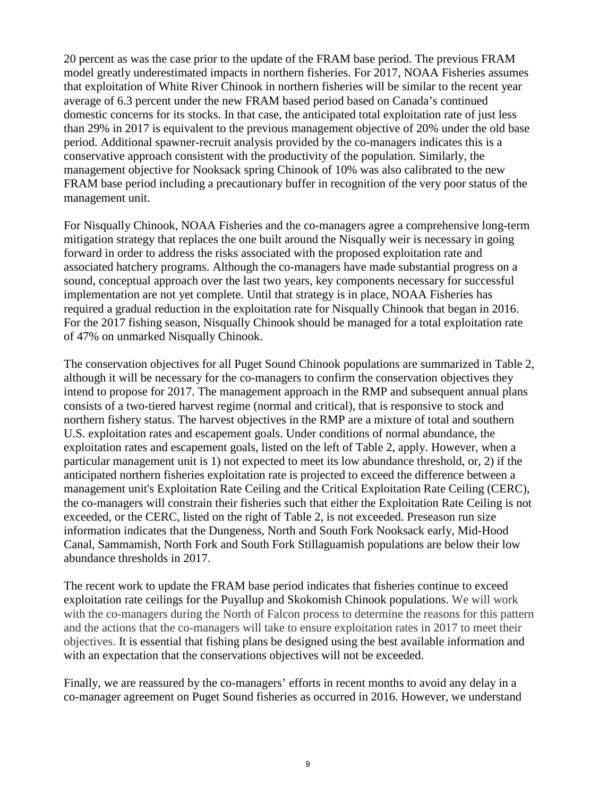20 percent as was the case prior to the update of the FRAM base period. The previous FRAM model greatly underestimated impacts in northern fisheries. For 2017, NOAA Fisheries assumes that exploitation of White River Chinook in northern fisheries will be similar to the recent year average of 6.3 percent under the new FRAM based period based on Canada's continued domestic concerns for its stocks. In that case, the anticipated total exploitation rate of just less than 29% in 2017 is equivalent to the previous management objective of 20% under the old base period. Additional spawner-recruit analysis provided by the co-managers indicates this is a conservative approach consistent with the productivity of the population. Similarly, the management objective for Nooksack spring Chinook of 10% was also calibrated to the new FRAM base period including a precautionary buffer in recognition of the very poor status of the management unit.

For Nisqually Chinook, NOAA Fisheries and the co-managers agree a comprehensive long-term mitigation strategy that replaces the one built around the Nisqually weir is necessary in going forward in order to address the risks associated with the proposed exploitation rate and associated hatchery programs. Although the co-managers have made substantial progress on a sound, conceptual approach over the last two years, key components necessary for successful implementation are not yet complete. Until that strategy is in place, NOAA Fisheries has required a gradual reduction in the exploitation rate for Nisqually Chinook that began in 2016. For the 2017 fishing season, Nisqually Chinook should be managed for a total exploitation rate of 47% on unmarked Nisqually Chinook.

The conservation objectives for all Puget Sound Chinook populations are summarized in Table 2, although it will be necessary for the co-managers to confirm the conservation objectives they intend to propose for 2017. The management approach in the RMP and subsequent annual plans consists of a two-tiered harvest regime (normal and critical), that is responsive to stock and northern fishery status. The harvest objectives in the RMP are a mixture of total and southern U.S. exploitation rates and escapement goals. Under conditions of normal abundance, the exploitation rates and escapement goals, listed on the left of Table 2, apply. However, when a particular management unit is 1) not expected to meet its low abundance threshold, or, 2) if the anticipated northern fisheries exploitation rate is projected to exceed the difference between a management unit's Exploitation Rate Ceiling and the Critical Exploitation Rate Ceiling (CERC), the co-managers will constrain their fisheries such that either the Exploitation Rate Ceiling is not exceeded, or the CERC, listed on the right of Table 2, is not exceeded. Preseason run size information indicates that the Dungeness, North and South Fork Nooksack early, Mid-Hood Canal, Sammamish, North Fork and South Fork Stillaguamish populations are below their low abundance thresholds in 2017.

The recent work to update the FRAM base period indicates that fisheries continue to exceed exploitation rate ceilings for the Puyallup and Skokomish Chinook populations. We will work with the co-managers during the North of Falcon process to determine the reasons for this pattern and the actions that the co-managers will take to ensure exploitation rates in 2017 to meet their objectives. It is essential that fishing plans be designed using the best available information and with an expectation that the conservations objectives will not be exceeded.

Finally, we are reassured by the co-managers' efforts in recent months to avoid any delay in a co-manager agreement on Puget Sound fisheries as occurred in 2016. However, we understand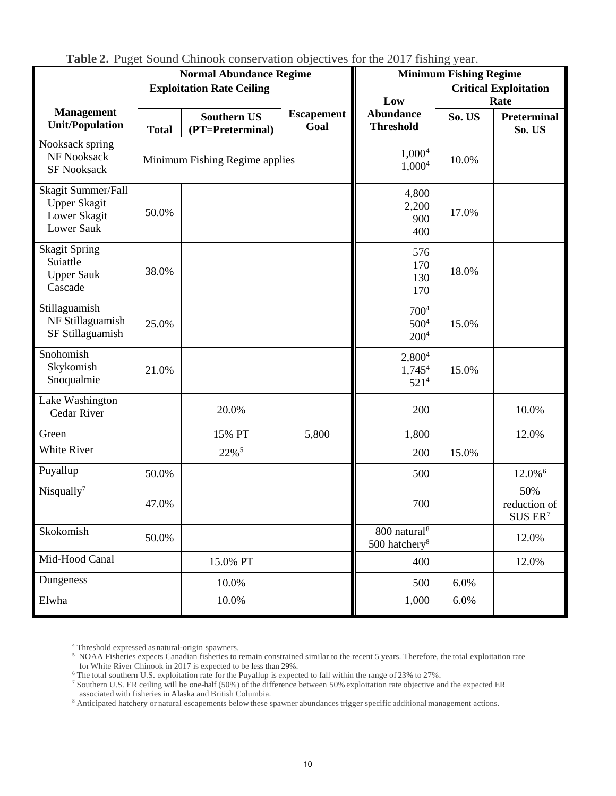|                                                                         | <b>Normal Abundance Regime</b>   |                                        |                           | <b>Minimum Fishing Regime</b>                         |        |                                            |  |
|-------------------------------------------------------------------------|----------------------------------|----------------------------------------|---------------------------|-------------------------------------------------------|--------|--------------------------------------------|--|
|                                                                         | <b>Exploitation Rate Ceiling</b> |                                        |                           | <b>Critical Exploitation</b>                          |        |                                            |  |
|                                                                         |                                  |                                        |                           | Low                                                   | Rate   |                                            |  |
| <b>Management</b><br><b>Unit/Population</b>                             | <b>Total</b>                     | <b>Southern US</b><br>(PT=Preterminal) | <b>Escapement</b><br>Goal | <b>Abundance</b><br><b>Threshold</b>                  | So. US | <b>Preterminal</b><br>So. US               |  |
| Nooksack spring<br>NF Nooksack<br><b>SF Nooksack</b>                    | Minimum Fishing Regime applies   |                                        |                           | 1,000 <sup>4</sup><br>1,000 <sup>4</sup>              | 10.0%  |                                            |  |
| Skagit Summer/Fall<br><b>Upper Skagit</b><br>Lower Skagit<br>Lower Sauk | 50.0%                            |                                        |                           | 4,800<br>2,200<br>900<br>400                          | 17.0%  |                                            |  |
| <b>Skagit Spring</b><br>Suiattle<br><b>Upper Sauk</b><br>Cascade        | 38.0%                            |                                        |                           | 576<br>170<br>130<br>170                              | 18.0%  |                                            |  |
| Stillaguamish<br>NF Stillaguamish<br>SF Stillaguamish                   | 25.0%                            |                                        |                           | $700^{4}$<br>$500^{4}$<br>200 <sup>4</sup>            | 15.0%  |                                            |  |
| Snohomish<br>Skykomish<br>Snoqualmie                                    | 21.0%                            |                                        |                           | 2,800 <sup>4</sup><br>$1,745^4$<br>521 <sup>4</sup>   | 15.0%  |                                            |  |
| Lake Washington<br><b>Cedar River</b>                                   |                                  | 20.0%                                  |                           | 200                                                   |        | 10.0%                                      |  |
| Green                                                                   |                                  | 15% PT                                 | 5,800                     | 1,800                                                 |        | 12.0%                                      |  |
| White River                                                             |                                  | 22% <sup>5</sup>                       |                           | 200                                                   | 15.0%  |                                            |  |
| Puyallup                                                                | 50.0%                            |                                        |                           | 500                                                   |        | 12.0% <sup>6</sup>                         |  |
| Nisqually $7$                                                           | 47.0%                            |                                        |                           | 700                                                   |        | 50%<br>reduction of<br>SUS ER <sup>7</sup> |  |
| Skokomish                                                               | 50.0%                            |                                        |                           | 800 natural <sup>8</sup><br>500 hatchery <sup>8</sup> |        | 12.0%                                      |  |
| Mid-Hood Canal                                                          |                                  | 15.0% PT                               |                           | 400                                                   |        | 12.0%                                      |  |
| Dungeness                                                               |                                  | 10.0%                                  |                           | 500                                                   | 6.0%   |                                            |  |
| Elwha                                                                   |                                  | 10.0%                                  |                           | 1,000                                                 | 6.0%   |                                            |  |

**Table 2.** Puget Sound Chinook conservation objectives for the 2017 fishing year.

<sup>4</sup> Threshold expressed as natural-origin spawners.

<span id="page-9-4"></span><span id="page-9-3"></span><span id="page-9-2"></span>8 Anticipated hatchery or natural escapements below these spawner abundances trigger specific additional management actions.

<sup>&</sup>lt;sup>5</sup> NOAA Fisheries expects Canadian fisheries to remain constrained similar to the recent 5 years. Therefore, the total exploitation rate for White River Chinook in 2017 is expected to be less than 29%.

<span id="page-9-1"></span><span id="page-9-0"></span><sup>&</sup>lt;sup>6</sup> The total southern U.S. exploitation rate for the Puyallup is expected to fall within the range of 23% to 27%.

<sup>7</sup> Southern U.S. ER ceiling will be one-half (50%) of the difference between 50% exploitation rate objective and the expected ER associated with fisheries in Alaska and British Columbia.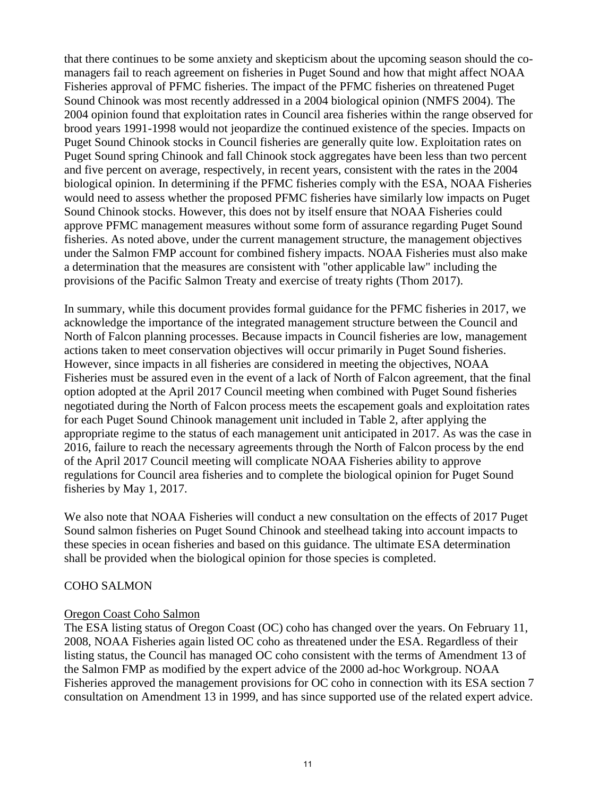that there continues to be some anxiety and skepticism about the upcoming season should the comanagers fail to reach agreement on fisheries in Puget Sound and how that might affect NOAA Fisheries approval of PFMC fisheries. The impact of the PFMC fisheries on threatened Puget Sound Chinook was most recently addressed in a 2004 biological opinion (NMFS 2004). The 2004 opinion found that exploitation rates in Council area fisheries within the range observed for brood years 1991-1998 would not jeopardize the continued existence of the species. Impacts on Puget Sound Chinook stocks in Council fisheries are generally quite low. Exploitation rates on Puget Sound spring Chinook and fall Chinook stock aggregates have been less than two percent and five percent on average, respectively, in recent years, consistent with the rates in the 2004 biological opinion. In determining if the PFMC fisheries comply with the ESA, NOAA Fisheries would need to assess whether the proposed PFMC fisheries have similarly low impacts on Puget Sound Chinook stocks. However, this does not by itself ensure that NOAA Fisheries could approve PFMC management measures without some form of assurance regarding Puget Sound fisheries. As noted above, under the current management structure, the management objectives under the Salmon FMP account for combined fishery impacts. NOAA Fisheries must also make a determination that the measures are consistent with "other applicable law" including the provisions of the Pacific Salmon Treaty and exercise of treaty rights (Thom 2017).

In summary, while this document provides formal guidance for the PFMC fisheries in 2017, we acknowledge the importance of the integrated management structure between the Council and North of Falcon planning processes. Because impacts in Council fisheries are low, management actions taken to meet conservation objectives will occur primarily in Puget Sound fisheries. However, since impacts in all fisheries are considered in meeting the objectives, NOAA Fisheries must be assured even in the event of a lack of North of Falcon agreement, that the final option adopted at the April 2017 Council meeting when combined with Puget Sound fisheries negotiated during the North of Falcon process meets the escapement goals and exploitation rates for each Puget Sound Chinook management unit included in Table 2, after applying the appropriate regime to the status of each management unit anticipated in 2017. As was the case in 2016, failure to reach the necessary agreements through the North of Falcon process by the end of the April 2017 Council meeting will complicate NOAA Fisheries ability to approve regulations for Council area fisheries and to complete the biological opinion for Puget Sound fisheries by May 1, 2017.

We also note that NOAA Fisheries will conduct a new consultation on the effects of 2017 Puget Sound salmon fisheries on Puget Sound Chinook and steelhead taking into account impacts to these species in ocean fisheries and based on this guidance. The ultimate ESA determination shall be provided when the biological opinion for those species is completed.

#### COHO SALMON

#### Oregon Coast Coho Salmon

The ESA listing status of Oregon Coast (OC) coho has changed over the years. On February 11, 2008, NOAA Fisheries again listed OC coho as threatened under the ESA. Regardless of their listing status, the Council has managed OC coho consistent with the terms of Amendment 13 of the Salmon FMP as modified by the expert advice of the 2000 ad-hoc Workgroup. NOAA Fisheries approved the management provisions for OC coho in connection with its ESA section 7 consultation on Amendment 13 in 1999, and has since supported use of the related expert advice.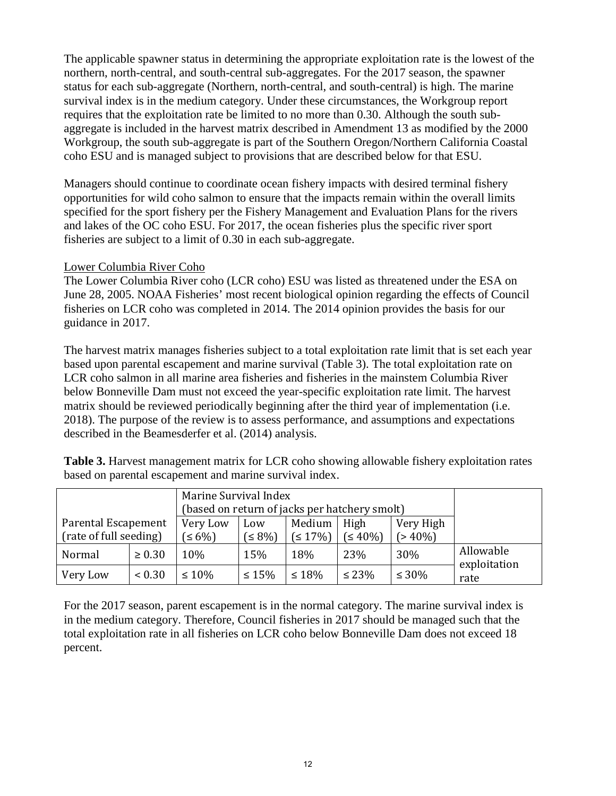The applicable spawner status in determining the appropriate exploitation rate is the lowest of the northern, north-central, and south-central sub-aggregates. For the 2017 season, the spawner status for each sub-aggregate (Northern, north-central, and south-central) is high. The marine survival index is in the medium category. Under these circumstances, the Workgroup report requires that the exploitation rate be limited to no more than 0.30. Although the south subaggregate is included in the harvest matrix described in Amendment 13 as modified by the 2000 Workgroup, the south sub-aggregate is part of the Southern Oregon/Northern California Coastal coho ESU and is managed subject to provisions that are described below for that ESU.

Managers should continue to coordinate ocean fishery impacts with desired terminal fishery opportunities for wild coho salmon to ensure that the impacts remain within the overall limits specified for the sport fishery per the Fishery Management and Evaluation Plans for the rivers and lakes of the OC coho ESU. For 2017, the ocean fisheries plus the specific river sport fisheries are subject to a limit of 0.30 in each sub-aggregate.

#### Lower Columbia River Coho

The Lower Columbia River coho (LCR coho) ESU was listed as threatened under the ESA on June 28, 2005. NOAA Fisheries' most recent biological opinion regarding the effects of Council fisheries on LCR coho was completed in 2014. The 2014 opinion provides the basis for our guidance in 2017.

The harvest matrix manages fisheries subject to a total exploitation rate limit that is set each year based upon parental escapement and marine survival (Table 3). The total exploitation rate on LCR coho salmon in all marine area fisheries and fisheries in the mainstem Columbia River below Bonneville Dam must not exceed the year-specific exploitation rate limit. The harvest matrix should be reviewed periodically beginning after the third year of implementation (i.e. 2018). The purpose of the review is to assess performance, and assumptions and expectations described in the Beamesderfer et al. (2014) analysis.

**Table 3.** Harvest management matrix for LCR coho showing allowable fishery exploitation rates based on parental escapement and marine survival index.

|                                               |                        | Marine Survival Index<br>(based on return of jacks per hatchery smolt) |                  |                   |                        |             |                           |
|-----------------------------------------------|------------------------|------------------------------------------------------------------------|------------------|-------------------|------------------------|-------------|---------------------------|
| Parental Escapement<br>(rate of full seeding) | Very Low<br>$\leq 6\%$ | Low<br>$(58\%)$                                                        | Medium<br>(517%) | High<br>$(540\%)$ | Very High<br>$(>40\%)$ |             |                           |
| Normal                                        | $\geq 0.30$            | 10%                                                                    | 15%              | 18%               | <b>23%</b>             | 30%         | Allowable<br>exploitation |
| Very Low                                      | ${}< 0.30$             | $\leq 10\%$                                                            | $\leq 15\%$      | $\leq 18\%$       | $\leq 23\%$            | $\leq 30\%$ | rate                      |

For the 2017 season, parent escapement is in the normal category. The marine survival index is in the medium category. Therefore, Council fisheries in 2017 should be managed such that the total exploitation rate in all fisheries on LCR coho below Bonneville Dam does not exceed 18 percent.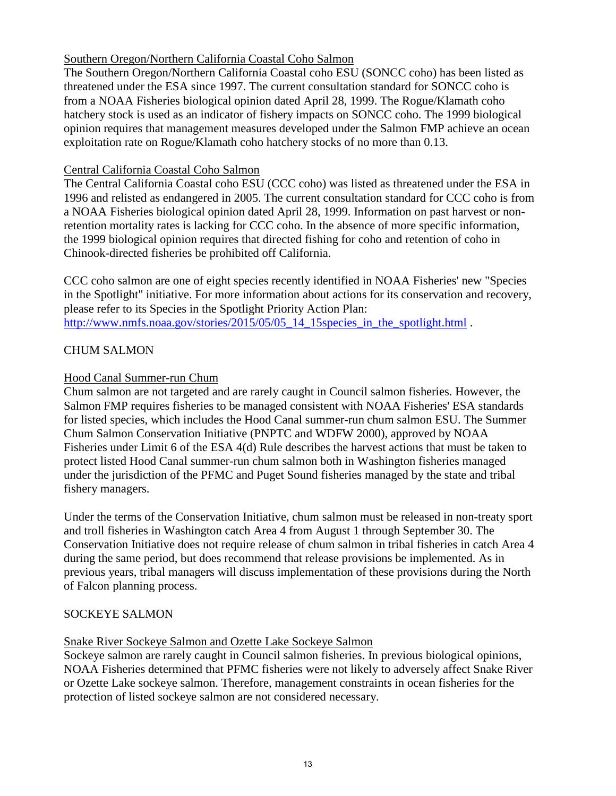## Southern Oregon/Northern California Coastal Coho Salmon

The Southern Oregon/Northern California Coastal coho ESU (SONCC coho) has been listed as threatened under the ESA since 1997. The current consultation standard for SONCC coho is from a NOAA Fisheries biological opinion dated April 28, 1999. The Rogue/Klamath coho hatchery stock is used as an indicator of fishery impacts on SONCC coho. The 1999 biological opinion requires that management measures developed under the Salmon FMP achieve an ocean exploitation rate on Rogue/Klamath coho hatchery stocks of no more than 0.13.

## Central California Coastal Coho Salmon

The Central California Coastal coho ESU (CCC coho) was listed as threatened under the ESA in 1996 and relisted as endangered in 2005. The current consultation standard for CCC coho is from a NOAA Fisheries biological opinion dated April 28, 1999. Information on past harvest or nonretention mortality rates is lacking for CCC coho. In the absence of more specific information, the 1999 biological opinion requires that directed fishing for coho and retention of coho in Chinook-directed fisheries be prohibited off California.

CCC coho salmon are one of eight species recently identified in NOAA Fisheries' new "Species in the Spotlight" initiative. For more information about actions for its conservation and recovery, please refer to its Species in the Spotlight Priority Action Plan: [http://www.nmfs.noaa.gov/stories/2015/05/05\\_14\\_15species\\_in\\_the\\_spotlight.html](http://www.nmfs.noaa.gov/stories/2015/05/05_14_15species_in_the_spotlight.html) .

# CHUM SALMON

## Hood Canal Summer-run Chum

Chum salmon are not targeted and are rarely caught in Council salmon fisheries. However, the Salmon FMP requires fisheries to be managed consistent with NOAA Fisheries' ESA standards for listed species, which includes the Hood Canal summer-run chum salmon ESU. The Summer Chum Salmon Conservation Initiative (PNPTC and WDFW 2000), approved by NOAA Fisheries under Limit 6 of the ESA 4(d) Rule describes the harvest actions that must be taken to protect listed Hood Canal summer-run chum salmon both in Washington fisheries managed under the jurisdiction of the PFMC and Puget Sound fisheries managed by the state and tribal fishery managers.

Under the terms of the Conservation Initiative, chum salmon must be released in non-treaty sport and troll fisheries in Washington catch Area 4 from August 1 through September 30. The Conservation Initiative does not require release of chum salmon in tribal fisheries in catch Area 4 during the same period, but does recommend that release provisions be implemented. As in previous years, tribal managers will discuss implementation of these provisions during the North of Falcon planning process.

#### SOCKEYE SALMON

#### Snake River Sockeye Salmon and Ozette Lake Sockeye Salmon

Sockeye salmon are rarely caught in Council salmon fisheries. In previous biological opinions, NOAA Fisheries determined that PFMC fisheries were not likely to adversely affect Snake River or Ozette Lake sockeye salmon. Therefore, management constraints in ocean fisheries for the protection of listed sockeye salmon are not considered necessary.